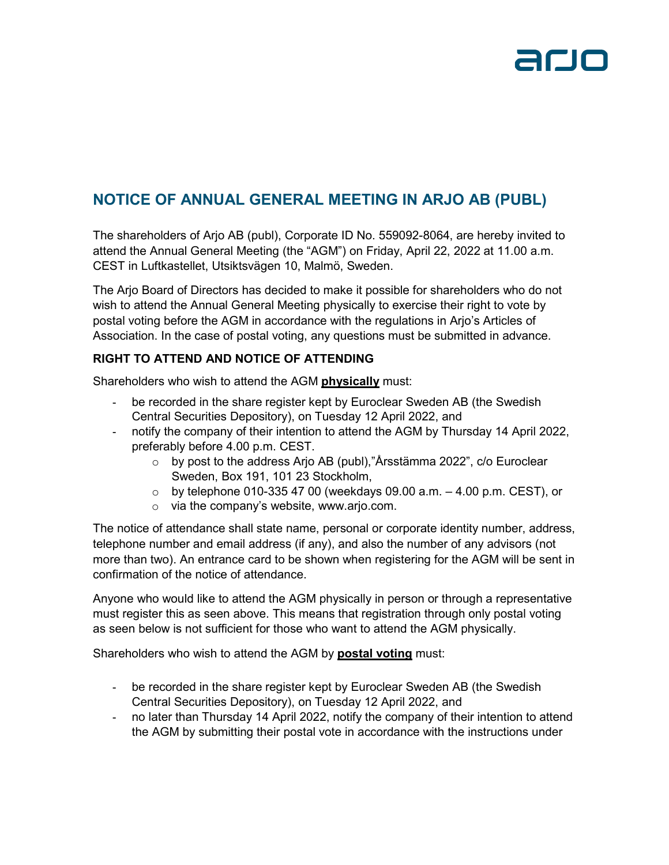

## **NOTICE OF ANNUAL GENERAL MEETING IN ARJO AB (PUBL)**

The shareholders of Arjo AB (publ), Corporate ID No. 559092-8064, are hereby invited to attend the Annual General Meeting (the "AGM") on Friday, April 22, 2022 at 11.00 a.m. CEST in Luftkastellet, Utsiktsvägen 10, Malmö, Sweden.

The Arjo Board of Directors has decided to make it possible for shareholders who do not wish to attend the Annual General Meeting physically to exercise their right to vote by postal voting before the AGM in accordance with the regulations in Arjo's Articles of Association. In the case of postal voting, any questions must be submitted in advance.

#### **RIGHT TO ATTEND AND NOTICE OF ATTENDING**

Shareholders who wish to attend the AGM **physically** must:

- be recorded in the share register kept by Euroclear Sweden AB (the Swedish Central Securities Depository), on Tuesday 12 April 2022, and
- notify the company of their intention to attend the AGM by Thursday 14 April 2022, preferably before 4.00 p.m. CEST.
	- o by post to the address Arjo AB (publ),"Årsstämma 2022", c/o Euroclear Sweden, Box 191, 101 23 Stockholm,
	- $\circ$  by telephone 010-335 47 00 (weekdays 09.00 a.m.  $-$  4.00 p.m. CEST), or
	- o via the company's website, www.arjo.com.

The notice of attendance shall state name, personal or corporate identity number, address, telephone number and email address (if any), and also the number of any advisors (not more than two). An entrance card to be shown when registering for the AGM will be sent in confirmation of the notice of attendance.

Anyone who would like to attend the AGM physically in person or through a representative must register this as seen above. This means that registration through only postal voting as seen below is not sufficient for those who want to attend the AGM physically.

Shareholders who wish to attend the AGM by **postal voting** must:

- be recorded in the share register kept by Euroclear Sweden AB (the Swedish Central Securities Depository), on Tuesday 12 April 2022, and
- no later than Thursday 14 April 2022, notify the company of their intention to attend the AGM by submitting their postal vote in accordance with the instructions under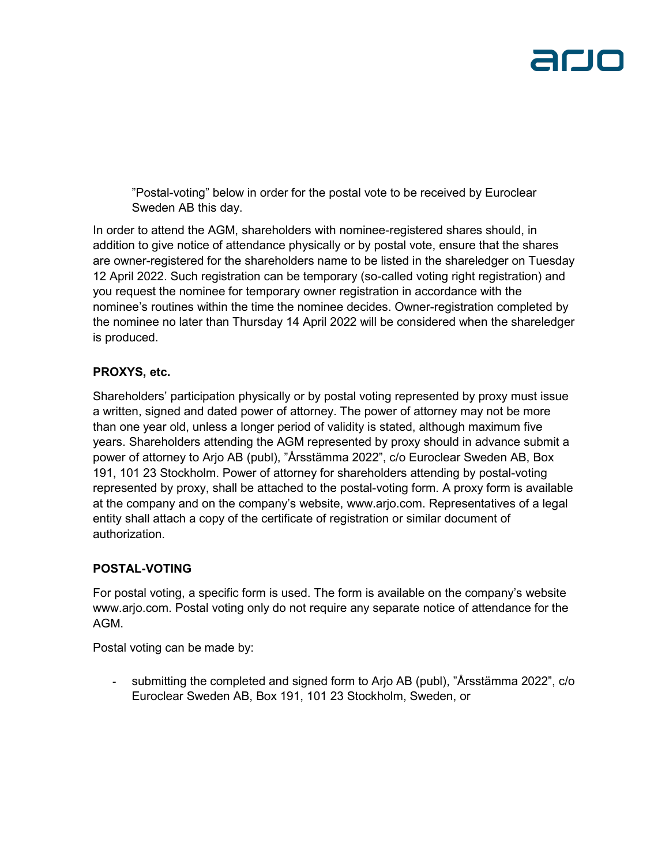

"Postal-voting" below in order for the postal vote to be received by Euroclear Sweden AB this day.

In order to attend the AGM, shareholders with nominee-registered shares should, in addition to give notice of attendance physically or by postal vote, ensure that the shares are owner-registered for the shareholders name to be listed in the shareledger on Tuesday 12 April 2022. Such registration can be temporary (so-called voting right registration) and you request the nominee for temporary owner registration in accordance with the nominee's routines within the time the nominee decides. Owner-registration completed by the nominee no later than Thursday 14 April 2022 will be considered when the shareledger is produced.

#### **PROXYS, etc.**

Shareholders' participation physically or by postal voting represented by proxy must issue a written, signed and dated power of attorney. The power of attorney may not be more than one year old, unless a longer period of validity is stated, although maximum five years. Shareholders attending the AGM represented by proxy should in advance submit a power of attorney to Arjo AB (publ), "Årsstämma 2022", c/o Euroclear Sweden AB, Box 191, 101 23 Stockholm. Power of attorney for shareholders attending by postal-voting represented by proxy, shall be attached to the postal-voting form. A proxy form is available at the company and on the company's website, www.arjo.com. Representatives of a legal entity shall attach a copy of the certificate of registration or similar document of authorization.

### **POSTAL-VOTING**

For postal voting, a specific form is used. The form is available on the company's website www.arjo.com. Postal voting only do not require any separate notice of attendance for the AGM.

Postal voting can be made by:

- submitting the completed and signed form to Arjo AB (publ), "Årsstämma 2022", c/o Euroclear Sweden AB, Box 191, 101 23 Stockholm, Sweden, or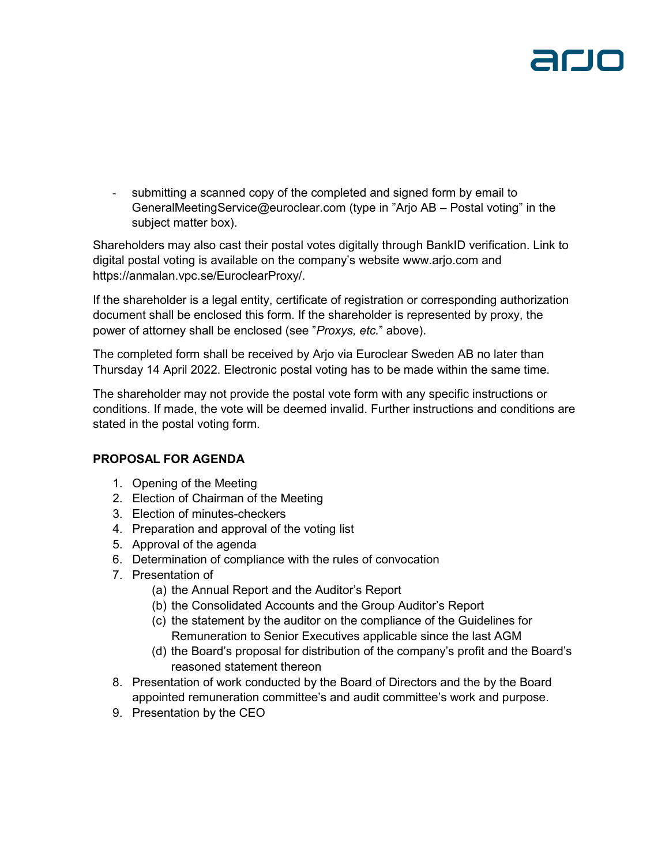submitting a scanned copy of the completed and signed form by email to GeneralMeetingService@euroclear.com (type in "Arjo AB – Postal voting" in the subject matter box).

Shareholders may also cast their postal votes digitally through BankID verification. Link to digital postal voting is available on the company's website www.arjo.com and https://anmalan.vpc.se/EuroclearProxy/.

If the shareholder is a legal entity, certificate of registration or corresponding authorization document shall be enclosed this form. If the shareholder is represented by proxy, the power of attorney shall be enclosed (see "*Proxys, etc.*" above).

The completed form shall be received by Arjo via Euroclear Sweden AB no later than Thursday 14 April 2022. Electronic postal voting has to be made within the same time.

The shareholder may not provide the postal vote form with any specific instructions or conditions. If made, the vote will be deemed invalid. Further instructions and conditions are stated in the postal voting form.

### **PROPOSAL FOR AGENDA**

- 1. Opening of the Meeting
- 2. Election of Chairman of the Meeting
- 3. Election of minutes-checkers
- 4. Preparation and approval of the voting list
- 5. Approval of the agenda
- 6. Determination of compliance with the rules of convocation
- 7. Presentation of
	- (a) the Annual Report and the Auditor's Report
	- (b) the Consolidated Accounts and the Group Auditor's Report
	- (c) the statement by the auditor on the compliance of the Guidelines for Remuneration to Senior Executives applicable since the last AGM
	- (d) the Board's proposal for distribution of the company's profit and the Board's reasoned statement thereon
- 8. Presentation of work conducted by the Board of Directors and the by the Board appointed remuneration committee's and audit committee's work and purpose.
- 9. Presentation by the CEO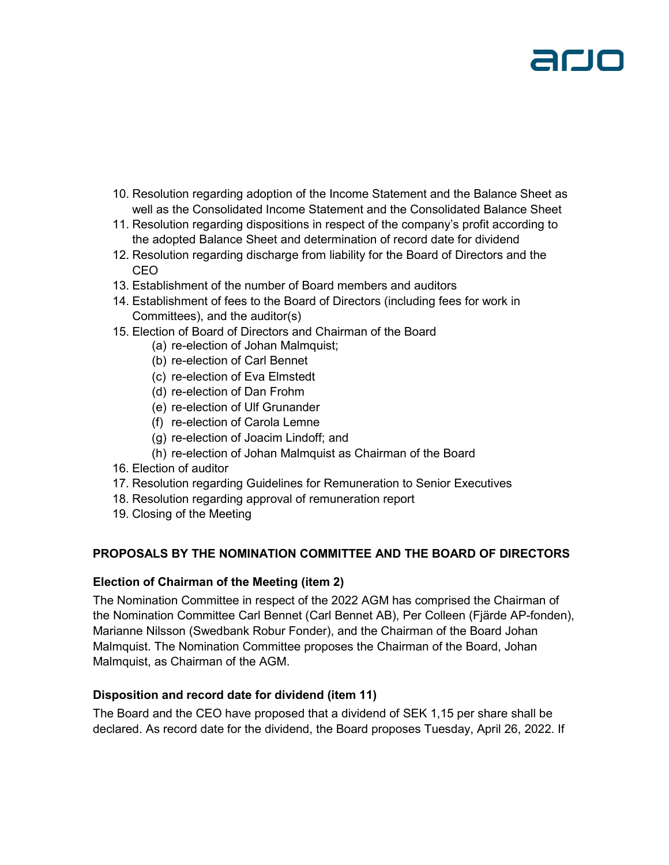

- 10. Resolution regarding adoption of the Income Statement and the Balance Sheet as well as the Consolidated Income Statement and the Consolidated Balance Sheet
- 11. Resolution regarding dispositions in respect of the company's profit according to the adopted Balance Sheet and determination of record date for dividend
- 12. Resolution regarding discharge from liability for the Board of Directors and the CEO
- 13. Establishment of the number of Board members and auditors
- 14. Establishment of fees to the Board of Directors (including fees for work in Committees), and the auditor(s)
- 15. Election of Board of Directors and Chairman of the Board
	- (a) re-election of Johan Malmquist;
	- (b) re-election of Carl Bennet
	- (c) re-election of Eva Elmstedt
	- (d) re-election of Dan Frohm
	- (e) re-election of Ulf Grunander
	- (f) re-election of Carola Lemne
	- (g) re-election of Joacim Lindoff; and
	- (h) re-election of Johan Malmquist as Chairman of the Board
- 16. Election of auditor
- 17. Resolution regarding Guidelines for Remuneration to Senior Executives
- 18. Resolution regarding approval of remuneration report
- 19. Closing of the Meeting

#### **PROPOSALS BY THE NOMINATION COMMITTEE AND THE BOARD OF DIRECTORS**

#### **Election of Chairman of the Meeting (item 2)**

The Nomination Committee in respect of the 2022 AGM has comprised the Chairman of the Nomination Committee Carl Bennet (Carl Bennet AB), Per Colleen (Fjärde AP-fonden), Marianne Nilsson (Swedbank Robur Fonder), and the Chairman of the Board Johan Malmquist. The Nomination Committee proposes the Chairman of the Board, Johan Malmquist, as Chairman of the AGM.

#### **Disposition and record date for dividend (item 11)**

The Board and the CEO have proposed that a dividend of SEK 1,15 per share shall be declared. As record date for the dividend, the Board proposes Tuesday, April 26, 2022. If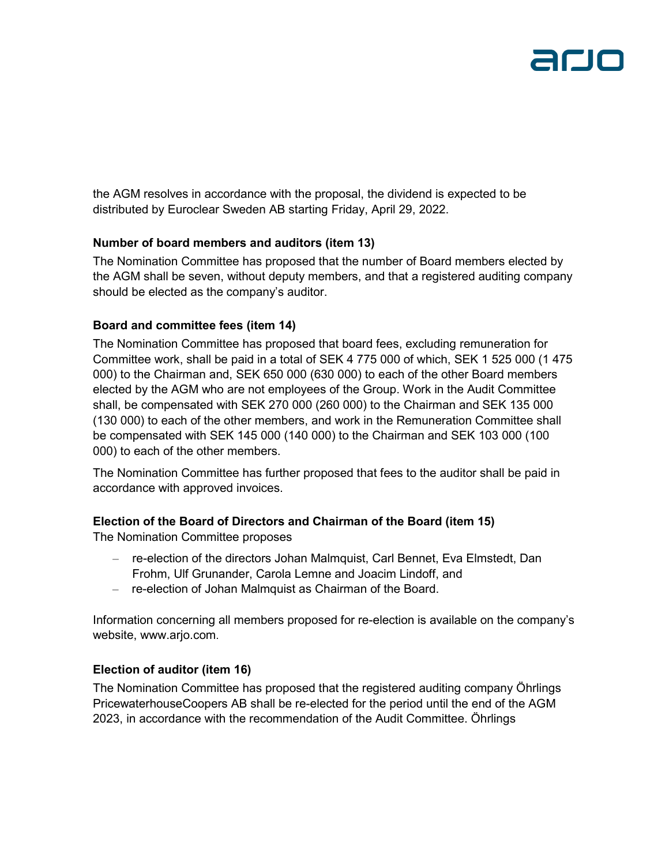the AGM resolves in accordance with the proposal, the dividend is expected to be distributed by Euroclear Sweden AB starting Friday, April 29, 2022.

#### **Number of board members and auditors (item 13)**

The Nomination Committee has proposed that the number of Board members elected by the AGM shall be seven, without deputy members, and that a registered auditing company should be elected as the company's auditor.

#### **Board and committee fees (item 14)**

The Nomination Committee has proposed that board fees, excluding remuneration for Committee work, shall be paid in a total of SEK 4 775 000 of which, SEK 1 525 000 (1 475 000) to the Chairman and, SEK 650 000 (630 000) to each of the other Board members elected by the AGM who are not employees of the Group. Work in the Audit Committee shall, be compensated with SEK 270 000 (260 000) to the Chairman and SEK 135 000 (130 000) to each of the other members, and work in the Remuneration Committee shall be compensated with SEK 145 000 (140 000) to the Chairman and SEK 103 000 (100 000) to each of the other members.

The Nomination Committee has further proposed that fees to the auditor shall be paid in accordance with approved invoices.

### **Election of the Board of Directors and Chairman of the Board (item 15)**

The Nomination Committee proposes

- re-election of the directors Johan Malmquist, Carl Bennet, Eva Elmstedt, Dan Frohm, Ulf Grunander, Carola Lemne and Joacim Lindoff, and
- re-election of Johan Malmquist as Chairman of the Board.

Information concerning all members proposed for re-election is available on the company's website, www.arjo.com.

### **Election of auditor (item 16)**

The Nomination Committee has proposed that the registered auditing company Öhrlings PricewaterhouseCoopers AB shall be re-elected for the period until the end of the AGM 2023, in accordance with the recommendation of the Audit Committee. Öhrlings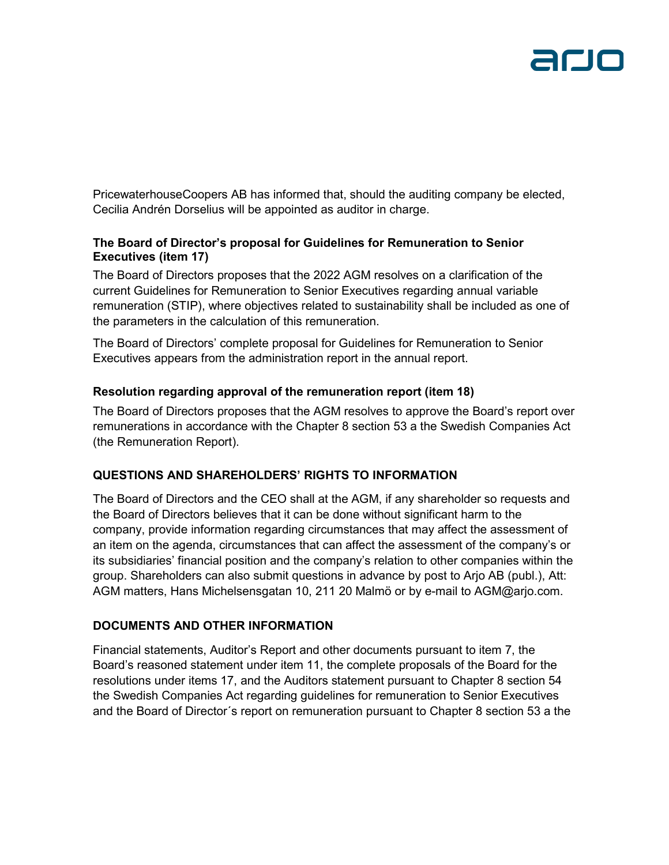PricewaterhouseCoopers AB has informed that, should the auditing company be elected, Cecilia Andrén Dorselius will be appointed as auditor in charge.

#### **The Board of Director's proposal for Guidelines for Remuneration to Senior Executives (item 17)**

The Board of Directors proposes that the 2022 AGM resolves on a clarification of the current Guidelines for Remuneration to Senior Executives regarding annual variable remuneration (STIP), where objectives related to sustainability shall be included as one of the parameters in the calculation of this remuneration.

The Board of Directors' complete proposal for Guidelines for Remuneration to Senior Executives appears from the administration report in the annual report.

### **Resolution regarding approval of the remuneration report (item 18)**

The Board of Directors proposes that the AGM resolves to approve the Board's report over remunerations in accordance with the Chapter 8 section 53 a the Swedish Companies Act (the Remuneration Report).

### **QUESTIONS AND SHAREHOLDERS' RIGHTS TO INFORMATION**

The Board of Directors and the CEO shall at the AGM, if any shareholder so requests and the Board of Directors believes that it can be done without significant harm to the company, provide information regarding circumstances that may affect the assessment of an item on the agenda, circumstances that can affect the assessment of the company's or its subsidiaries' financial position and the company's relation to other companies within the group. Shareholders can also submit questions in advance by post to Arjo AB (publ.), Att: AGM matters, Hans Michelsensgatan 10, 211 20 Malmö or by e-mail to AGM@arjo.com.

#### **DOCUMENTS AND OTHER INFORMATION**

Financial statements, Auditor's Report and other documents pursuant to item 7, the Board's reasoned statement under item 11, the complete proposals of the Board for the resolutions under items 17, and the Auditors statement pursuant to Chapter 8 section 54 the Swedish Companies Act regarding guidelines for remuneration to Senior Executives and the Board of Director´s report on remuneration pursuant to Chapter 8 section 53 a the